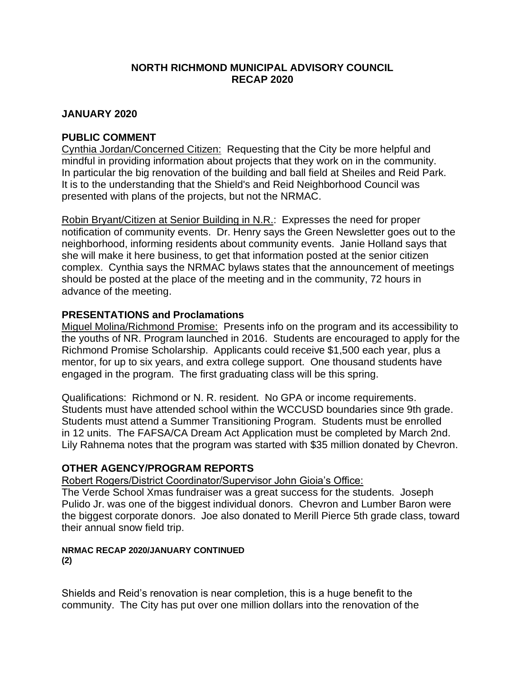### **NORTH RICHMOND MUNICIPAL ADVISORY COUNCIL RECAP 2020**

### **JANUARY 2020**

### **PUBLIC COMMENT**

Cynthia Jordan/Concerned Citizen: Requesting that the City be more helpful and mindful in providing information about projects that they work on in the community. In particular the big renovation of the building and ball field at Sheiles and Reid Park. It is to the understanding that the Shield's and Reid Neighborhood Council was presented with plans of the projects, but not the NRMAC.

Robin Bryant/Citizen at Senior Building in N.R.: Expresses the need for proper notification of community events. Dr. Henry says the Green Newsletter goes out to the neighborhood, informing residents about community events. Janie Holland says that she will make it here business, to get that information posted at the senior citizen complex. Cynthia says the NRMAC bylaws states that the announcement of meetings should be posted at the place of the meeting and in the community, 72 hours in advance of the meeting.

### **PRESENTATIONS and Proclamations**

Miguel Molina/Richmond Promise: Presents info on the program and its accessibility to the youths of NR. Program launched in 2016. Students are encouraged to apply for the Richmond Promise Scholarship. Applicants could receive \$1,500 each year, plus a mentor, for up to six years, and extra college support. One thousand students have engaged in the program. The first graduating class will be this spring.

Qualifications: Richmond or N. R. resident. No GPA or income requirements. Students must have attended school within the WCCUSD boundaries since 9th grade. Students must attend a Summer Transitioning Program. Students must be enrolled in 12 units. The FAFSA/CA Dream Act Application must be completed by March 2nd. Lily Rahnema notes that the program was started with \$35 million donated by Chevron.

### **OTHER AGENCY/PROGRAM REPORTS**

Robert Rogers/District Coordinator/Supervisor John Gioia's Office:

The Verde School Xmas fundraiser was a great success for the students. Joseph Pulido Jr. was one of the biggest individual donors. Chevron and Lumber Baron were the biggest corporate donors. Joe also donated to Merill Pierce 5th grade class, toward their annual snow field trip.

# **NRMAC RECAP 2020/JANUARY CONTINUED**

**(2)**

Shields and Reid's renovation is near completion, this is a huge benefit to the community. The City has put over one million dollars into the renovation of the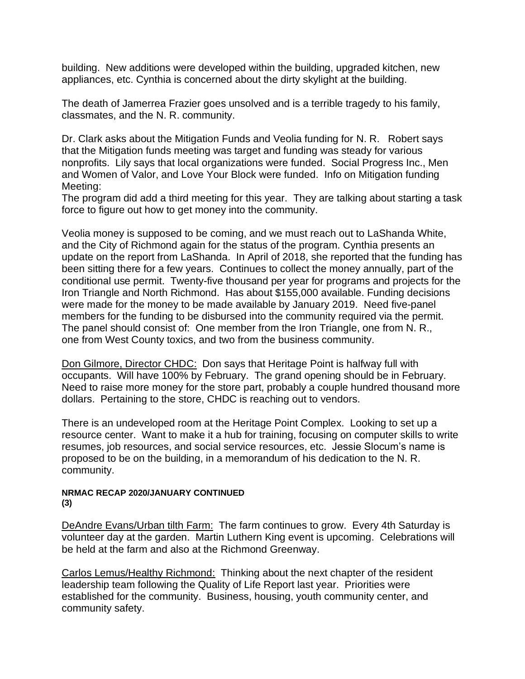building. New additions were developed within the building, upgraded kitchen, new appliances, etc. Cynthia is concerned about the dirty skylight at the building.

The death of Jamerrea Frazier goes unsolved and is a terrible tragedy to his family, classmates, and the N. R. community.

Dr. Clark asks about the Mitigation Funds and Veolia funding for N. R. Robert says that the Mitigation funds meeting was target and funding was steady for various nonprofits. Lily says that local organizations were funded. Social Progress Inc., Men and Women of Valor, and Love Your Block were funded. Info on Mitigation funding Meeting:

The program did add a third meeting for this year. They are talking about starting a task force to figure out how to get money into the community.

Veolia money is supposed to be coming, and we must reach out to LaShanda White, and the City of Richmond again for the status of the program. Cynthia presents an update on the report from LaShanda. In April of 2018, she reported that the funding has been sitting there for a few years. Continues to collect the money annually, part of the conditional use permit. Twenty-five thousand per year for programs and projects for the Iron Triangle and North Richmond. Has about \$155,000 available. Funding decisions were made for the money to be made available by January 2019. Need five-panel members for the funding to be disbursed into the community required via the permit. The panel should consist of: One member from the Iron Triangle, one from N. R., one from West County toxics, and two from the business community.

Don Gilmore, Director CHDC: Don says that Heritage Point is halfway full with occupants. Will have 100% by February. The grand opening should be in February. Need to raise more money for the store part, probably a couple hundred thousand more dollars. Pertaining to the store, CHDC is reaching out to vendors.

There is an undeveloped room at the Heritage Point Complex. Looking to set up a resource center. Want to make it a hub for training, focusing on computer skills to write resumes, job resources, and social service resources, etc. Jessie Slocum's name is proposed to be on the building, in a memorandum of his dedication to the N. R. community.

#### **NRMAC RECAP 2020/JANUARY CONTINUED (3)**

DeAndre Evans/Urban tilth Farm: The farm continues to grow. Every 4th Saturday is volunteer day at the garden. Martin Luthern King event is upcoming. Celebrations will be held at the farm and also at the Richmond Greenway.

Carlos Lemus/Healthy Richmond: Thinking about the next chapter of the resident leadership team following the Quality of Life Report last year. Priorities were established for the community. Business, housing, youth community center, and community safety.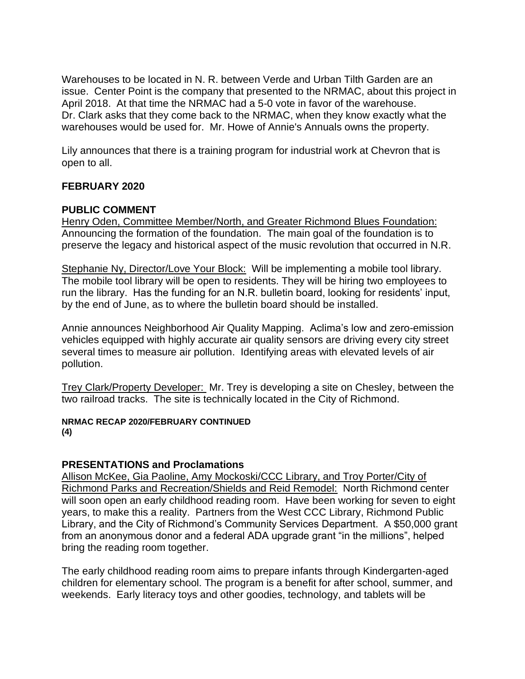Warehouses to be located in N. R. between Verde and Urban Tilth Garden are an issue. Center Point is the company that presented to the NRMAC, about this project in April 2018. At that time the NRMAC had a 5-0 vote in favor of the warehouse. Dr. Clark asks that they come back to the NRMAC, when they know exactly what the warehouses would be used for. Mr. Howe of Annie's Annuals owns the property.

Lily announces that there is a training program for industrial work at Chevron that is open to all.

### **FEBRUARY 2020**

### **PUBLIC COMMENT**

Henry Oden, Committee Member/North, and Greater Richmond Blues Foundation: Announcing the formation of the foundation. The main goal of the foundation is to preserve the legacy and historical aspect of the music revolution that occurred in N.R.

Stephanie Ny, Director/Love Your Block: Will be implementing a mobile tool library. The mobile tool library will be open to residents. They will be hiring two employees to run the library. Has the funding for an N.R. bulletin board, looking for residents' input, by the end of June, as to where the bulletin board should be installed.

Annie announces Neighborhood Air Quality Mapping. Aclima's low and zero-emission vehicles equipped with highly accurate air quality sensors are driving every city street several times to measure air pollution. Identifying areas with elevated levels of air pollution.

Trey Clark/Property Developer: Mr. Trey is developing a site on Chesley, between the two railroad tracks. The site is technically located in the City of Richmond.

#### **NRMAC RECAP 2020/FEBRUARY CONTINUED (4)**

### **PRESENTATIONS and Proclamations**

Allison McKee, Gia Paoline, Amy Mockoski/CCC Library, and Troy Porter/City of Richmond Parks and Recreation/Shields and Reid Remodel: North Richmond center will soon open an early childhood reading room. Have been working for seven to eight years, to make this a reality. Partners from the West CCC Library, Richmond Public Library, and the City of Richmond's Community Services Department. A \$50,000 grant from an anonymous donor and a federal ADA upgrade grant "in the millions", helped bring the reading room together.

The early childhood reading room aims to prepare infants through Kindergarten-aged children for elementary school. The program is a benefit for after school, summer, and weekends. Early literacy toys and other goodies, technology, and tablets will be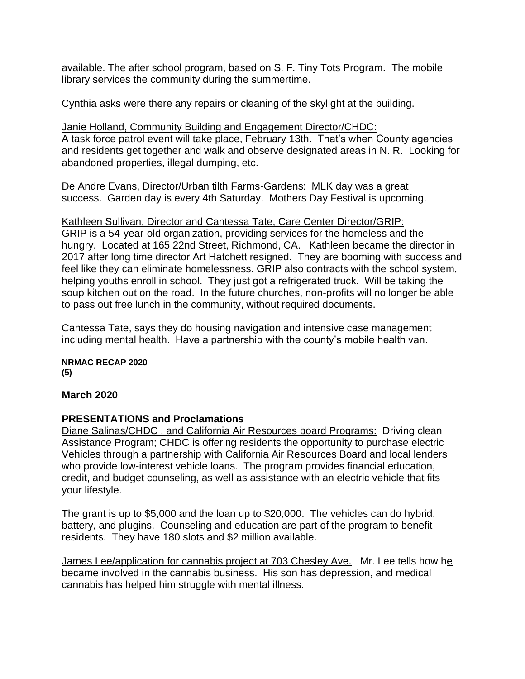available. The after school program, based on S. F. Tiny Tots Program. The mobile library services the community during the summertime.

Cynthia asks were there any repairs or cleaning of the skylight at the building.

Janie Holland, Community Building and Engagement Director/CHDC: A task force patrol event will take place, February 13th. That's when County agencies and residents get together and walk and observe designated areas in N. R. Looking for abandoned properties, illegal dumping, etc.

De Andre Evans, Director/Urban tilth Farms-Gardens: MLK day was a great success. Garden day is every 4th Saturday. Mothers Day Festival is upcoming.

### Kathleen Sullivan, Director and Cantessa Tate, Care Center Director/GRIP:

GRIP is a 54-year-old organization, providing services for the homeless and the hungry. Located at 165 22nd Street, Richmond, CA. Kathleen became the director in 2017 after long time director Art Hatchett resigned. They are booming with success and feel like they can eliminate homelessness. GRIP also contracts with the school system, helping youths enroll in school. They just got a refrigerated truck. Will be taking the soup kitchen out on the road. In the future churches, non-profits will no longer be able to pass out free lunch in the community, without required documents.

Cantessa Tate, says they do housing navigation and intensive case management including mental health. Have a partnership with the county's mobile health van.

**NRMAC RECAP 2020 (5)**

### **March 2020**

## **PRESENTATIONS and Proclamations**

Diane Salinas/CHDC , and California Air Resources board Programs: Driving clean Assistance Program; CHDC is offering residents the opportunity to purchase electric Vehicles through a partnership with California Air Resources Board and local lenders who provide low-interest vehicle loans. The program provides financial education, credit, and budget counseling, as well as assistance with an electric vehicle that fits your lifestyle.

The grant is up to \$5,000 and the loan up to \$20,000. The vehicles can do hybrid, battery, and plugins. Counseling and education are part of the program to benefit residents. They have 180 slots and \$2 million available.

James Lee/application for cannabis project at 703 Chesley Ave. Mr. Lee tells how he became involved in the cannabis business. His son has depression, and medical cannabis has helped him struggle with mental illness.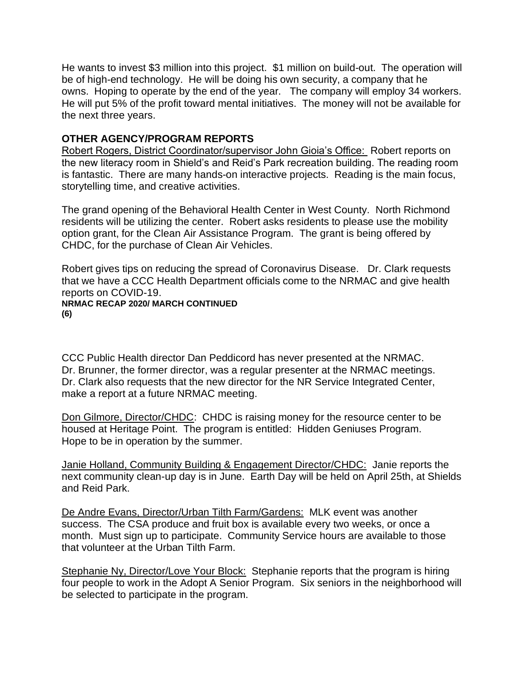He wants to invest \$3 million into this project. \$1 million on build-out. The operation will be of high-end technology. He will be doing his own security, a company that he owns. Hoping to operate by the end of the year. The company will employ 34 workers. He will put 5% of the profit toward mental initiatives. The money will not be available for the next three years.

## **OTHER AGENCY/PROGRAM REPORTS**

Robert Rogers, District Coordinator/supervisor John Gioia's Office: Robert reports on the new literacy room in Shield's and Reid's Park recreation building. The reading room is fantastic. There are many hands-on interactive projects. Reading is the main focus, storytelling time, and creative activities.

The grand opening of the Behavioral Health Center in West County. North Richmond residents will be utilizing the center. Robert asks residents to please use the mobility option grant, for the Clean Air Assistance Program. The grant is being offered by CHDC, for the purchase of Clean Air Vehicles.

Robert gives tips on reducing the spread of Coronavirus Disease. Dr. Clark requests that we have a CCC Health Department officials come to the NRMAC and give health reports on COVID-19. **NRMAC RECAP 2020/ MARCH CONTINUED**

**(6)**

CCC Public Health director Dan Peddicord has never presented at the NRMAC. Dr. Brunner, the former director, was a regular presenter at the NRMAC meetings. Dr. Clark also requests that the new director for the NR Service Integrated Center, make a report at a future NRMAC meeting.

Don Gilmore, Director/CHDC: CHDC is raising money for the resource center to be housed at Heritage Point. The program is entitled: Hidden Geniuses Program. Hope to be in operation by the summer.

Janie Holland, Community Building & Engagement Director/CHDC: Janie reports the next community clean-up day is in June. Earth Day will be held on April 25th, at Shields and Reid Park.

De Andre Evans, Director/Urban Tilth Farm/Gardens: MLK event was another success. The CSA produce and fruit box is available every two weeks, or once a month. Must sign up to participate. Community Service hours are available to those that volunteer at the Urban Tilth Farm.

Stephanie Ny, Director/Love Your Block: Stephanie reports that the program is hiring four people to work in the Adopt A Senior Program. Six seniors in the neighborhood will be selected to participate in the program.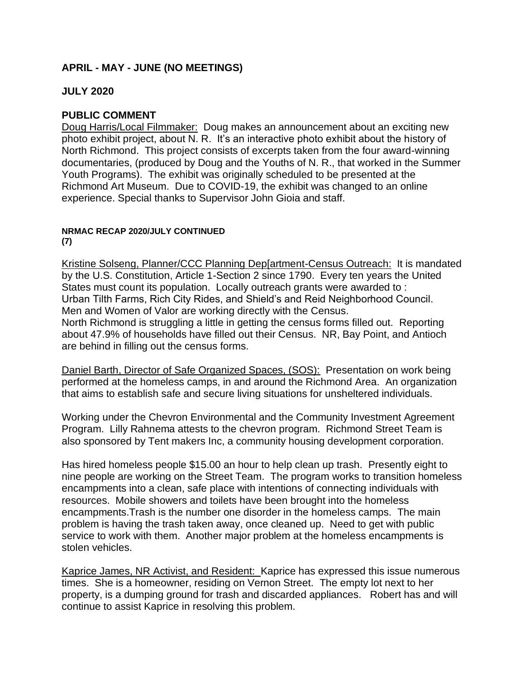## **APRIL - MAY - JUNE (NO MEETINGS)**

### **JULY 2020**

### **PUBLIC COMMENT**

Doug Harris/Local Filmmaker: Doug makes an announcement about an exciting new photo exhibit project, about N. R. It's an interactive photo exhibit about the history of North Richmond. This project consists of excerpts taken from the four award-winning documentaries, (produced by Doug and the Youths of N. R., that worked in the Summer Youth Programs). The exhibit was originally scheduled to be presented at the Richmond Art Museum. Due to COVID-19, the exhibit was changed to an online experience. Special thanks to Supervisor John Gioia and staff.

#### **NRMAC RECAP 2020/JULY CONTINUED (7)**

Kristine Solseng, Planner/CCC Planning Dep[artment-Census Outreach: It is mandated by the U.S. Constitution, Article 1-Section 2 since 1790. Every ten years the United States must count its population. Locally outreach grants were awarded to : Urban Tilth Farms, Rich City Rides, and Shield's and Reid Neighborhood Council. Men and Women of Valor are working directly with the Census. North Richmond is struggling a little in getting the census forms filled out. Reporting about 47.9% of households have filled out their Census. NR, Bay Point, and Antioch are behind in filling out the census forms.

Daniel Barth, Director of Safe Organized Spaces, (SOS): Presentation on work being performed at the homeless camps, in and around the Richmond Area. An organization that aims to establish safe and secure living situations for unsheltered individuals.

Working under the Chevron Environmental and the Community Investment Agreement Program. Lilly Rahnema attests to the chevron program. Richmond Street Team is also sponsored by Tent makers Inc, a community housing development corporation.

Has hired homeless people \$15.00 an hour to help clean up trash. Presently eight to nine people are working on the Street Team. The program works to transition homeless encampments into a clean, safe place with intentions of connecting individuals with resources. Mobile showers and toilets have been brought into the homeless encampments.Trash is the number one disorder in the homeless camps. The main problem is having the trash taken away, once cleaned up. Need to get with public service to work with them. Another major problem at the homeless encampments is stolen vehicles.

Kaprice James, NR Activist, and Resident: Kaprice has expressed this issue numerous times. She is a homeowner, residing on Vernon Street. The empty lot next to her property, is a dumping ground for trash and discarded appliances. Robert has and will continue to assist Kaprice in resolving this problem.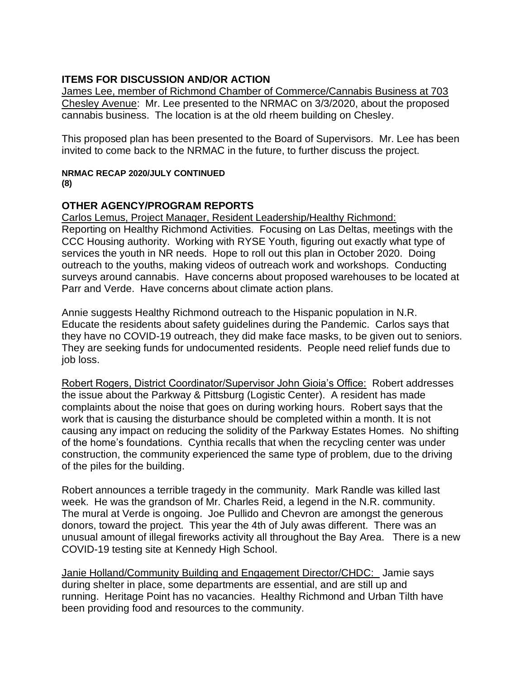## **ITEMS FOR DISCUSSION AND/OR ACTION**

James Lee, member of Richmond Chamber of Commerce/Cannabis Business at 703 Chesley Avenue: Mr. Lee presented to the NRMAC on 3/3/2020, about the proposed cannabis business. The location is at the old rheem building on Chesley.

This proposed plan has been presented to the Board of Supervisors. Mr. Lee has been invited to come back to the NRMAC in the future, to further discuss the project.

# **NRMAC RECAP 2020/JULY CONTINUED**

**(8)**

# **OTHER AGENCY/PROGRAM REPORTS**

Carlos Lemus, Project Manager, Resident Leadership/Healthy Richmond: Reporting on Healthy Richmond Activities. Focusing on Las Deltas, meetings with the CCC Housing authority. Working with RYSE Youth, figuring out exactly what type of services the youth in NR needs. Hope to roll out this plan in October 2020. Doing outreach to the youths, making videos of outreach work and workshops. Conducting surveys around cannabis. Have concerns about proposed warehouses to be located at Parr and Verde. Have concerns about climate action plans.

Annie suggests Healthy Richmond outreach to the Hispanic population in N.R. Educate the residents about safety guidelines during the Pandemic. Carlos says that they have no COVID-19 outreach, they did make face masks, to be given out to seniors. They are seeking funds for undocumented residents. People need relief funds due to job loss.

Robert Rogers, District Coordinator/Supervisor John Gioia's Office: Robert addresses the issue about the Parkway & Pittsburg (Logistic Center). A resident has made complaints about the noise that goes on during working hours. Robert says that the work that is causing the disturbance should be completed within a month. It is not causing any impact on reducing the solidity of the Parkway Estates Homes. No shifting of the home's foundations. Cynthia recalls that when the recycling center was under construction, the community experienced the same type of problem, due to the driving of the piles for the building.

Robert announces a terrible tragedy in the community. Mark Randle was killed last week. He was the grandson of Mr. Charles Reid, a legend in the N.R. community. The mural at Verde is ongoing. Joe Pullido and Chevron are amongst the generous donors, toward the project. This year the 4th of July awas different. There was an unusual amount of illegal fireworks activity all throughout the Bay Area. There is a new COVID-19 testing site at Kennedy High School.

Janie Holland/Community Building and Engagement Director/CHDC: Jamie says during shelter in place, some departments are essential, and are still up and running. Heritage Point has no vacancies. Healthy Richmond and Urban Tilth have been providing food and resources to the community.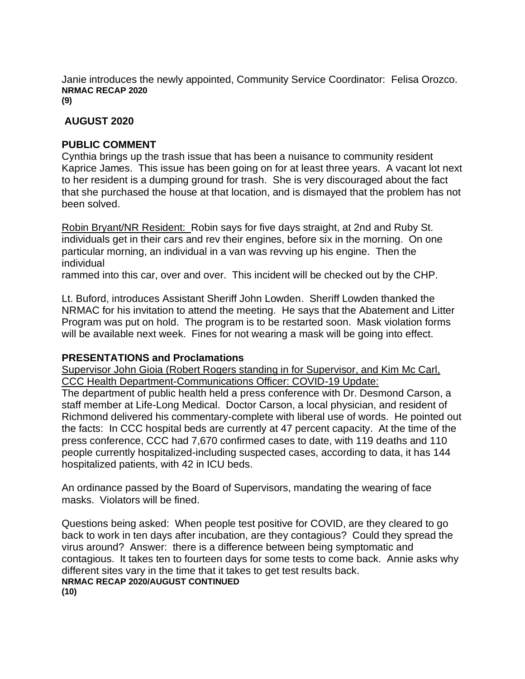Janie introduces the newly appointed, Community Service Coordinator: Felisa Orozco. **NRMAC RECAP 2020 (9)**

### **AUGUST 2020**

### **PUBLIC COMMENT**

Cynthia brings up the trash issue that has been a nuisance to community resident Kaprice James. This issue has been going on for at least three years. A vacant lot next to her resident is a dumping ground for trash. She is very discouraged about the fact that she purchased the house at that location, and is dismayed that the problem has not been solved.

Robin Bryant/NR Resident: Robin says for five days straight, at 2nd and Ruby St. individuals get in their cars and rev their engines, before six in the morning. On one particular morning, an individual in a van was revving up his engine. Then the individual

rammed into this car, over and over. This incident will be checked out by the CHP.

Lt. Buford, introduces Assistant Sheriff John Lowden. Sheriff Lowden thanked the NRMAC for his invitation to attend the meeting. He says that the Abatement and Litter Program was put on hold. The program is to be restarted soon. Mask violation forms will be available next week. Fines for not wearing a mask will be going into effect.

### **PRESENTATIONS and Proclamations**

Supervisor John Gioia (Robert Rogers standing in for Supervisor, and Kim Mc Carl, CCC Health Department-Communications Officer: COVID-19 Update:

The department of public health held a press conference with Dr. Desmond Carson, a staff member at Life-Long Medical. Doctor Carson, a local physician, and resident of Richmond delivered his commentary-complete with liberal use of words. He pointed out the facts: In CCC hospital beds are currently at 47 percent capacity. At the time of the press conference, CCC had 7,670 confirmed cases to date, with 119 deaths and 110 people currently hospitalized-including suspected cases, according to data, it has 144 hospitalized patients, with 42 in ICU beds.

An ordinance passed by the Board of Supervisors, mandating the wearing of face masks. Violators will be fined.

Questions being asked: When people test positive for COVID, are they cleared to go back to work in ten days after incubation, are they contagious? Could they spread the virus around? Answer: there is a difference between being symptomatic and contagious. It takes ten to fourteen days for some tests to come back. Annie asks why different sites vary in the time that it takes to get test results back. **NRMAC RECAP 2020/AUGUST CONTINUED (10)**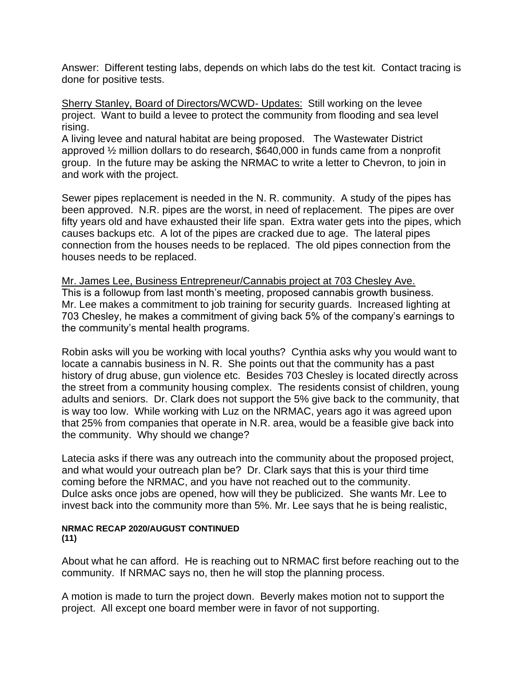Answer: Different testing labs, depends on which labs do the test kit. Contact tracing is done for positive tests.

Sherry Stanley, Board of Directors/WCWD- Updates: Still working on the levee project. Want to build a levee to protect the community from flooding and sea level rising.

A living levee and natural habitat are being proposed. The Wastewater District approved ½ million dollars to do research, \$640,000 in funds came from a nonprofit group. In the future may be asking the NRMAC to write a letter to Chevron, to join in and work with the project.

Sewer pipes replacement is needed in the N. R. community. A study of the pipes has been approved. N.R. pipes are the worst, in need of replacement. The pipes are over fifty years old and have exhausted their life span. Extra water gets into the pipes, which causes backups etc. A lot of the pipes are cracked due to age. The lateral pipes connection from the houses needs to be replaced. The old pipes connection from the houses needs to be replaced.

Mr. James Lee, Business Entrepreneur/Cannabis project at 703 Chesley Ave. This is a followup from last month's meeting, proposed cannabis growth business. Mr. Lee makes a commitment to job training for security guards. Increased lighting at 703 Chesley, he makes a commitment of giving back 5% of the company's earnings to the community's mental health programs.

Robin asks will you be working with local youths? Cynthia asks why you would want to locate a cannabis business in N. R. She points out that the community has a past history of drug abuse, gun violence etc. Besides 703 Chesley is located directly across the street from a community housing complex. The residents consist of children, young adults and seniors. Dr. Clark does not support the 5% give back to the community, that is way too low. While working with Luz on the NRMAC, years ago it was agreed upon that 25% from companies that operate in N.R. area, would be a feasible give back into the community. Why should we change?

Latecia asks if there was any outreach into the community about the proposed project, and what would your outreach plan be? Dr. Clark says that this is your third time coming before the NRMAC, and you have not reached out to the community. Dulce asks once jobs are opened, how will they be publicized. She wants Mr. Lee to invest back into the community more than 5%. Mr. Lee says that he is being realistic,

#### **NRMAC RECAP 2020/AUGUST CONTINUED (11)**

About what he can afford. He is reaching out to NRMAC first before reaching out to the community. If NRMAC says no, then he will stop the planning process.

A motion is made to turn the project down. Beverly makes motion not to support the project. All except one board member were in favor of not supporting.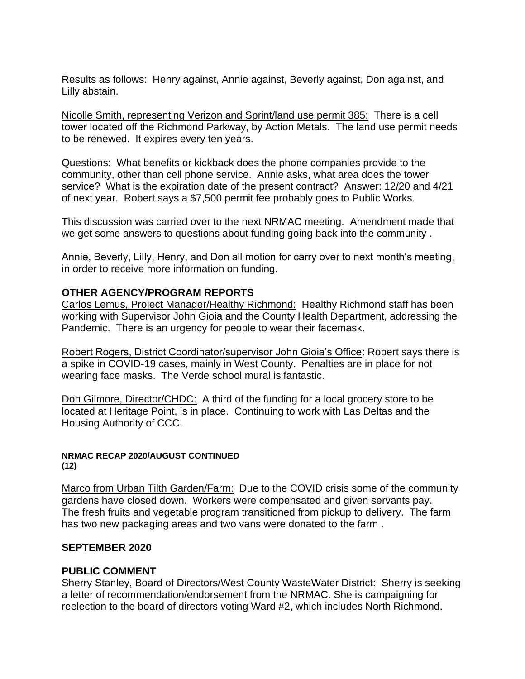Results as follows: Henry against, Annie against, Beverly against, Don against, and Lilly abstain.

Nicolle Smith, representing Verizon and Sprint/land use permit 385: There is a cell tower located off the Richmond Parkway, by Action Metals. The land use permit needs to be renewed. It expires every ten years.

Questions: What benefits or kickback does the phone companies provide to the community, other than cell phone service. Annie asks, what area does the tower service? What is the expiration date of the present contract? Answer: 12/20 and 4/21 of next year. Robert says a \$7,500 permit fee probably goes to Public Works.

This discussion was carried over to the next NRMAC meeting. Amendment made that we get some answers to questions about funding going back into the community .

Annie, Beverly, Lilly, Henry, and Don all motion for carry over to next month's meeting, in order to receive more information on funding.

### **OTHER AGENCY/PROGRAM REPORTS**

Carlos Lemus, Project Manager/Healthy Richmond: Healthy Richmond staff has been working with Supervisor John Gioia and the County Health Department, addressing the Pandemic. There is an urgency for people to wear their facemask.

Robert Rogers, District Coordinator/supervisor John Gioia's Office: Robert says there is a spike in COVID-19 cases, mainly in West County. Penalties are in place for not wearing face masks. The Verde school mural is fantastic.

Don Gilmore, Director/CHDC: A third of the funding for a local grocery store to be located at Heritage Point, is in place. Continuing to work with Las Deltas and the Housing Authority of CCC.

#### **NRMAC RECAP 2020/AUGUST CONTINUED (12)**

Marco from Urban Tilth Garden/Farm: Due to the COVID crisis some of the community gardens have closed down. Workers were compensated and given servants pay. The fresh fruits and vegetable program transitioned from pickup to delivery. The farm has two new packaging areas and two vans were donated to the farm .

### **SEPTEMBER 2020**

### **PUBLIC COMMENT**

Sherry Stanley, Board of Directors/West County WasteWater District: Sherry is seeking a letter of recommendation/endorsement from the NRMAC. She is campaigning for reelection to the board of directors voting Ward #2, which includes North Richmond.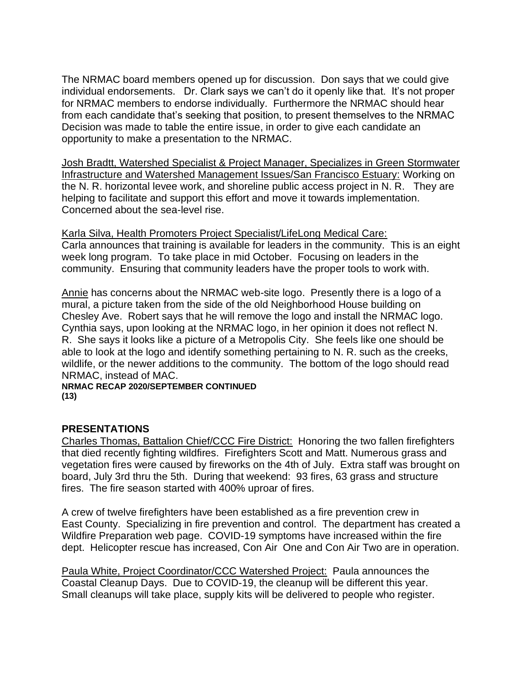The NRMAC board members opened up for discussion. Don says that we could give individual endorsements. Dr. Clark says we can't do it openly like that. It's not proper for NRMAC members to endorse individually. Furthermore the NRMAC should hear from each candidate that's seeking that position, to present themselves to the NRMAC Decision was made to table the entire issue, in order to give each candidate an opportunity to make a presentation to the NRMAC.

Josh Bradtt, Watershed Specialist & Project Manager, Specializes in Green Stormwater Infrastructure and Watershed Management Issues/San Francisco Estuary: Working on the N. R. horizontal levee work, and shoreline public access project in N. R. They are helping to facilitate and support this effort and move it towards implementation. Concerned about the sea-level rise.

Karla Silva, Health Promoters Project Specialist/LifeLong Medical Care: Carla announces that training is available for leaders in the community. This is an eight week long program. To take place in mid October. Focusing on leaders in the community. Ensuring that community leaders have the proper tools to work with.

Annie has concerns about the NRMAC web-site logo. Presently there is a logo of a mural, a picture taken from the side of the old Neighborhood House building on Chesley Ave. Robert says that he will remove the logo and install the NRMAC logo. Cynthia says, upon looking at the NRMAC logo, in her opinion it does not reflect N. R. She says it looks like a picture of a Metropolis City. She feels like one should be able to look at the logo and identify something pertaining to N. R. such as the creeks, wildlife, or the newer additions to the community. The bottom of the logo should read NRMAC, instead of MAC.

**NRMAC RECAP 2020/SEPTEMBER CONTINUED (13)**

### **PRESENTATIONS**

Charles Thomas, Battalion Chief/CCC Fire District: Honoring the two fallen firefighters that died recently fighting wildfires. Firefighters Scott and Matt. Numerous grass and vegetation fires were caused by fireworks on the 4th of July. Extra staff was brought on board, July 3rd thru the 5th. During that weekend: 93 fires, 63 grass and structure fires. The fire season started with 400% uproar of fires.

A crew of twelve firefighters have been established as a fire prevention crew in East County. Specializing in fire prevention and control. The department has created a Wildfire Preparation web page. COVID-19 symptoms have increased within the fire dept. Helicopter rescue has increased, Con Air One and Con Air Two are in operation.

Paula White, Project Coordinator/CCC Watershed Project: Paula announces the Coastal Cleanup Days. Due to COVID-19, the cleanup will be different this year. Small cleanups will take place, supply kits will be delivered to people who register.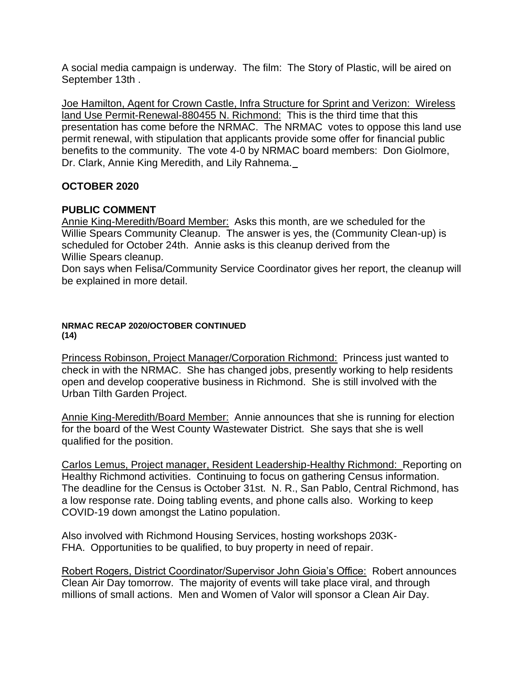A social media campaign is underway. The film: The Story of Plastic, will be aired on September 13th .

Joe Hamilton, Agent for Crown Castle, Infra Structure for Sprint and Verizon: Wireless land Use Permit-Renewal-880455 N. Richmond: This is the third time that this presentation has come before the NRMAC. The NRMAC votes to oppose this land use permit renewal, with stipulation that applicants provide some offer for financial public benefits to the community. The vote 4-0 by NRMAC board members: Don Giolmore, Dr. Clark, Annie King Meredith, and Lily Rahnema.

### **OCTOBER 2020**

### **PUBLIC COMMENT**

Annie King-Meredith/Board Member: Asks this month, are we scheduled for the Willie Spears Community Cleanup. The answer is yes, the (Community Clean-up) is scheduled for October 24th. Annie asks is this cleanup derived from the Willie Spears cleanup.

Don says when Felisa/Community Service Coordinator gives her report, the cleanup will be explained in more detail.

### **NRMAC RECAP 2020/OCTOBER CONTINUED (14)**

Princess Robinson, Project Manager/Corporation Richmond: Princess just wanted to check in with the NRMAC. She has changed jobs, presently working to help residents open and develop cooperative business in Richmond. She is still involved with the Urban Tilth Garden Project.

Annie King-Meredith/Board Member: Annie announces that she is running for election for the board of the West County Wastewater District. She says that she is well qualified for the position.

Carlos Lemus, Project manager, Resident Leadership-Healthy Richmond: Reporting on Healthy Richmond activities. Continuing to focus on gathering Census information. The deadline for the Census is October 31st. N. R., San Pablo, Central Richmond, has a low response rate. Doing tabling events, and phone calls also. Working to keep COVID-19 down amongst the Latino population.

Also involved with Richmond Housing Services, hosting workshops 203K-FHA. Opportunities to be qualified, to buy property in need of repair.

Robert Rogers, District Coordinator/Supervisor John Gioia's Office: Robert announces Clean Air Day tomorrow. The majority of events will take place viral, and through millions of small actions. Men and Women of Valor will sponsor a Clean Air Day.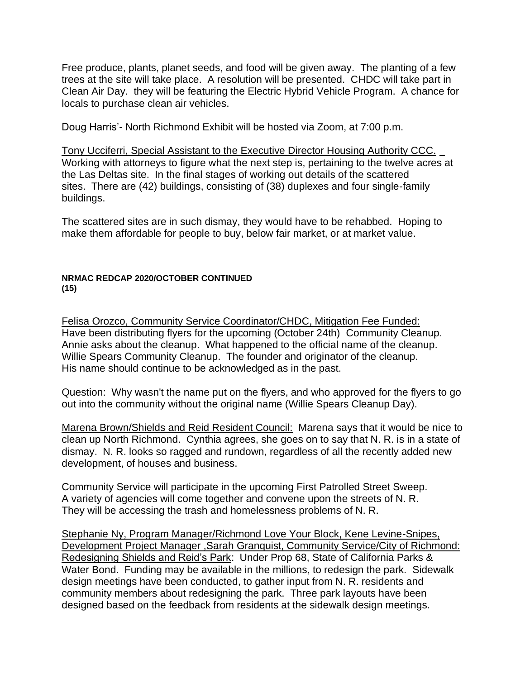Free produce, plants, planet seeds, and food will be given away. The planting of a few trees at the site will take place. A resolution will be presented. CHDC will take part in Clean Air Day. they will be featuring the Electric Hybrid Vehicle Program. A chance for locals to purchase clean air vehicles.

Doug Harris'- North Richmond Exhibit will be hosted via Zoom, at 7:00 p.m.

Tony Ucciferri, Special Assistant to the Executive Director Housing Authority CCC. Working with attorneys to figure what the next step is, pertaining to the twelve acres at the Las Deltas site. In the final stages of working out details of the scattered sites. There are (42) buildings, consisting of (38) duplexes and four single-family buildings.

The scattered sites are in such dismay, they would have to be rehabbed. Hoping to make them affordable for people to buy, below fair market, or at market value.

### **NRMAC REDCAP 2020/OCTOBER CONTINUED (15)**

Felisa Orozco, Community Service Coordinator/CHDC, Mitigation Fee Funded: Have been distributing flyers for the upcoming (October 24th) Community Cleanup. Annie asks about the cleanup. What happened to the official name of the cleanup. Willie Spears Community Cleanup. The founder and originator of the cleanup. His name should continue to be acknowledged as in the past.

Question: Why wasn't the name put on the flyers, and who approved for the flyers to go out into the community without the original name (Willie Spears Cleanup Day).

Marena Brown/Shields and Reid Resident Council: Marena says that it would be nice to clean up North Richmond. Cynthia agrees, she goes on to say that N. R. is in a state of dismay. N. R. looks so ragged and rundown, regardless of all the recently added new development, of houses and business.

Community Service will participate in the upcoming First Patrolled Street Sweep. A variety of agencies will come together and convene upon the streets of N. R. They will be accessing the trash and homelessness problems of N. R.

Stephanie Ny, Program Manager/Richmond Love Your Block, Kene Levine-Snipes, Development Project Manager ,Sarah Granquist, Community Service/City of Richmond: Redesigning Shields and Reid's Park: Under Prop 68, State of California Parks & Water Bond. Funding may be available in the millions, to redesign the park. Sidewalk design meetings have been conducted, to gather input from N. R. residents and community members about redesigning the park. Three park layouts have been designed based on the feedback from residents at the sidewalk design meetings.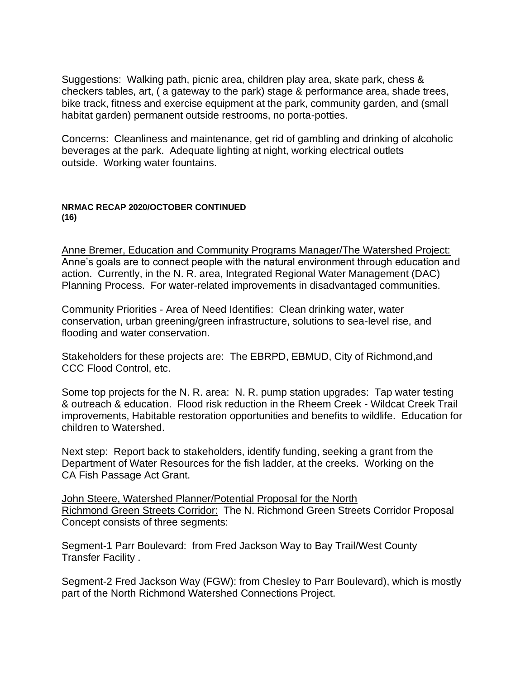Suggestions: Walking path, picnic area, children play area, skate park, chess & checkers tables, art, ( a gateway to the park) stage & performance area, shade trees, bike track, fitness and exercise equipment at the park, community garden, and (small habitat garden) permanent outside restrooms, no porta-potties.

Concerns: Cleanliness and maintenance, get rid of gambling and drinking of alcoholic beverages at the park. Adequate lighting at night, working electrical outlets outside. Working water fountains.

#### **NRMAC RECAP 2020/OCTOBER CONTINUED (16)**

Anne Bremer, Education and Community Programs Manager/The Watershed Project: Anne's goals are to connect people with the natural environment through education and action. Currently, in the N. R. area, Integrated Regional Water Management (DAC) Planning Process. For water-related improvements in disadvantaged communities.

Community Priorities - Area of Need Identifies: Clean drinking water, water conservation, urban greening/green infrastructure, solutions to sea-level rise, and flooding and water conservation.

Stakeholders for these projects are: The EBRPD, EBMUD, City of Richmond,and CCC Flood Control, etc.

Some top projects for the N. R. area: N. R. pump station upgrades: Tap water testing & outreach & education. Flood risk reduction in the Rheem Creek - Wildcat Creek Trail improvements, Habitable restoration opportunities and benefits to wildlife. Education for children to Watershed.

Next step: Report back to stakeholders, identify funding, seeking a grant from the Department of Water Resources for the fish ladder, at the creeks. Working on the CA Fish Passage Act Grant.

John Steere, Watershed Planner/Potential Proposal for the North Richmond Green Streets Corridor: The N. Richmond Green Streets Corridor Proposal Concept consists of three segments:

Segment-1 Parr Boulevard: from Fred Jackson Way to Bay Trail/West County Transfer Facility .

Segment-2 Fred Jackson Way (FGW): from Chesley to Parr Boulevard), which is mostly part of the North Richmond Watershed Connections Project.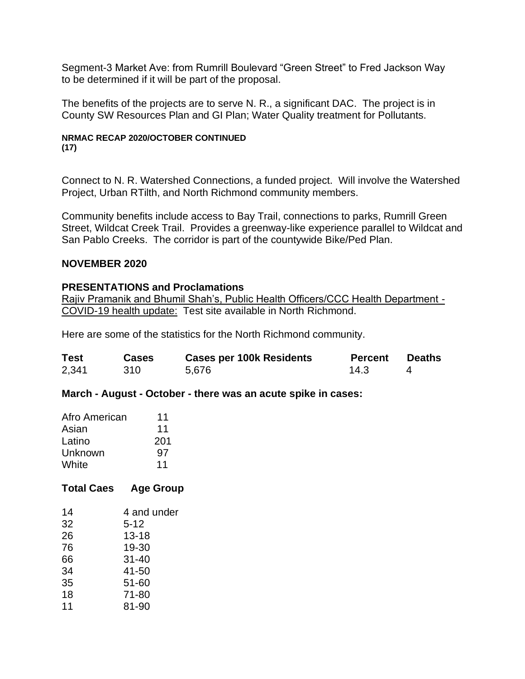Segment-3 Market Ave: from Rumrill Boulevard "Green Street" to Fred Jackson Way to be determined if it will be part of the proposal.

The benefits of the projects are to serve N. R., a significant DAC. The project is in County SW Resources Plan and GI Plan; Water Quality treatment for Pollutants.

### **NRMAC RECAP 2020/OCTOBER CONTINUED (17)**

Connect to N. R. Watershed Connections, a funded project. Will involve the Watershed Project, Urban RTilth, and North Richmond community members.

Community benefits include access to Bay Trail, connections to parks, Rumrill Green Street, Wildcat Creek Trail. Provides a greenway-like experience parallel to Wildcat and San Pablo Creeks. The corridor is part of the countywide Bike/Ped Plan.

### **NOVEMBER 2020**

### **PRESENTATIONS and Proclamations**

Rajiv Pramanik and Bhumil Shah's, Public Health Officers/CCC Health Department -COVID-19 health update: Test site available in North Richmond.

Here are some of the statistics for the North Richmond community.

| <b>Test</b> | <b>Cases</b> | <b>Cases per 100k Residents</b> | <b>Percent</b> | Deaths |
|-------------|--------------|---------------------------------|----------------|--------|
| 2,341       | 310          | 5,676                           | 14.3           |        |

**March - August - October - there was an acute spike in cases:**

| Afro American | 11  |
|---------------|-----|
| Asian         | 11  |
| Latino        | 201 |
| Unknown       | 97  |
| White         | 11  |

## **Total Caes Age Group**

| 14 | 4 and under |
|----|-------------|
| 32 | $5 - 12$    |
| 26 | $13 - 18$   |
| 76 | 19-30       |
| 66 | $31 - 40$   |
| 34 | 41-50       |
| 35 | $51 - 60$   |
| 18 | 71-80       |
| 11 | 81-90       |
|    |             |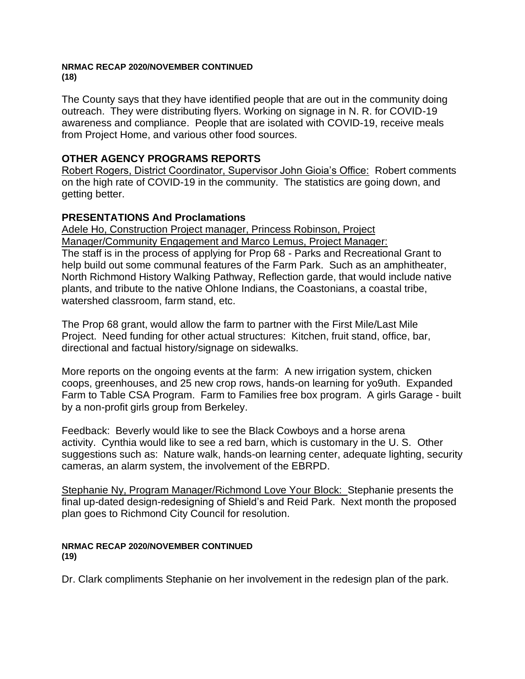#### **NRMAC RECAP 2020/NOVEMBER CONTINUED (18)**

The County says that they have identified people that are out in the community doing outreach. They were distributing flyers. Working on signage in N. R. for COVID-19 awareness and compliance. People that are isolated with COVID-19, receive meals from Project Home, and various other food sources.

## **OTHER AGENCY PROGRAMS REPORTS**

Robert Rogers, District Coordinator, Supervisor John Gioia's Office: Robert comments on the high rate of COVID-19 in the community. The statistics are going down, and getting better.

### **PRESENTATIONS And Proclamations**

Adele Ho, Construction Project manager, Princess Robinson, Project Manager/Community Engagement and Marco Lemus, Project Manager: The staff is in the process of applying for Prop 68 - Parks and Recreational Grant to help build out some communal features of the Farm Park. Such as an amphitheater, North Richmond History Walking Pathway, Reflection garde, that would include native plants, and tribute to the native Ohlone Indians, the Coastonians, a coastal tribe, watershed classroom, farm stand, etc.

The Prop 68 grant, would allow the farm to partner with the First Mile/Last Mile Project. Need funding for other actual structures: Kitchen, fruit stand, office, bar, directional and factual history/signage on sidewalks.

More reports on the ongoing events at the farm: A new irrigation system, chicken coops, greenhouses, and 25 new crop rows, hands-on learning for yo9uth. Expanded Farm to Table CSA Program. Farm to Families free box program. A girls Garage - built by a non-profit girls group from Berkeley.

Feedback: Beverly would like to see the Black Cowboys and a horse arena activity. Cynthia would like to see a red barn, which is customary in the U. S. Other suggestions such as: Nature walk, hands-on learning center, adequate lighting, security cameras, an alarm system, the involvement of the EBRPD.

Stephanie Ny, Program Manager/Richmond Love Your Block: Stephanie presents the final up-dated design-redesigning of Shield's and Reid Park. Next month the proposed plan goes to Richmond City Council for resolution.

#### **NRMAC RECAP 2020/NOVEMBER CONTINUED (19)**

Dr. Clark compliments Stephanie on her involvement in the redesign plan of the park.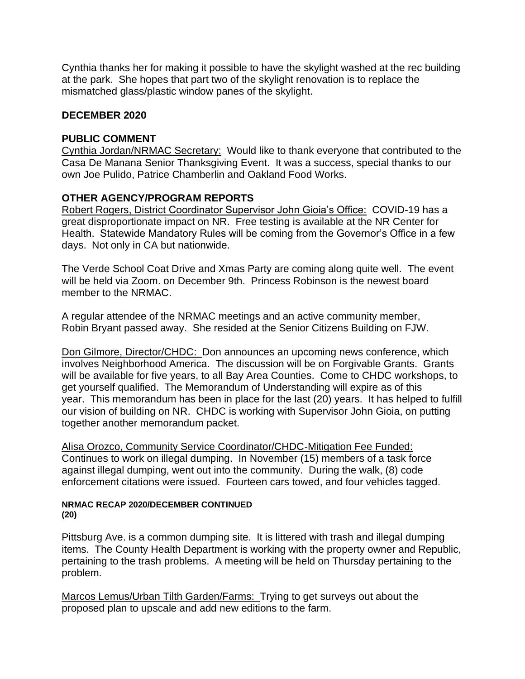Cynthia thanks her for making it possible to have the skylight washed at the rec building at the park. She hopes that part two of the skylight renovation is to replace the mismatched glass/plastic window panes of the skylight.

### **DECEMBER 2020**

## **PUBLIC COMMENT**

Cynthia Jordan/NRMAC Secretary: Would like to thank everyone that contributed to the Casa De Manana Senior Thanksgiving Event. It was a success, special thanks to our own Joe Pulido, Patrice Chamberlin and Oakland Food Works.

## **OTHER AGENCY/PROGRAM REPORTS**

Robert Rogers, District Coordinator Supervisor John Gioia's Office: COVID-19 has a great disproportionate impact on NR. Free testing is available at the NR Center for Health. Statewide Mandatory Rules will be coming from the Governor's Office in a few days. Not only in CA but nationwide.

The Verde School Coat Drive and Xmas Party are coming along quite well. The event will be held via Zoom. on December 9th. Princess Robinson is the newest board member to the NRMAC.

A regular attendee of the NRMAC meetings and an active community member, Robin Bryant passed away. She resided at the Senior Citizens Building on FJW.

Don Gilmore, Director/CHDC: Don announces an upcoming news conference, which involves Neighborhood America. The discussion will be on Forgivable Grants. Grants will be available for five years, to all Bay Area Counties. Come to CHDC workshops, to get yourself qualified. The Memorandum of Understanding will expire as of this year. This memorandum has been in place for the last (20) years. It has helped to fulfill our vision of building on NR. CHDC is working with Supervisor John Gioia, on putting together another memorandum packet.

Alisa Orozco, Community Service Coordinator/CHDC-Mitigation Fee Funded: Continues to work on illegal dumping. In November (15) members of a task force against illegal dumping, went out into the community. During the walk, (8) code enforcement citations were issued. Fourteen cars towed, and four vehicles tagged.

#### **NRMAC RECAP 2020/DECEMBER CONTINUED (20)**

Pittsburg Ave. is a common dumping site. It is littered with trash and illegal dumping items. The County Health Department is working with the property owner and Republic, pertaining to the trash problems. A meeting will be held on Thursday pertaining to the problem.

Marcos Lemus/Urban Tilth Garden/Farms: Trying to get surveys out about the proposed plan to upscale and add new editions to the farm.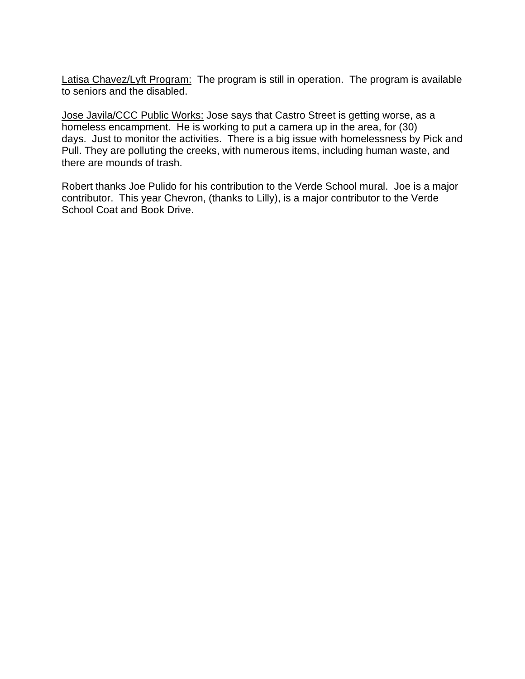Latisa Chavez/Lyft Program: The program is still in operation. The program is available to seniors and the disabled.

Jose Javila/CCC Public Works: Jose says that Castro Street is getting worse, as a homeless encampment. He is working to put a camera up in the area, for (30) days. Just to monitor the activities. There is a big issue with homelessness by Pick and Pull. They are polluting the creeks, with numerous items, including human waste, and there are mounds of trash.

Robert thanks Joe Pulido for his contribution to the Verde School mural. Joe is a major contributor. This year Chevron, (thanks to Lilly), is a major contributor to the Verde School Coat and Book Drive.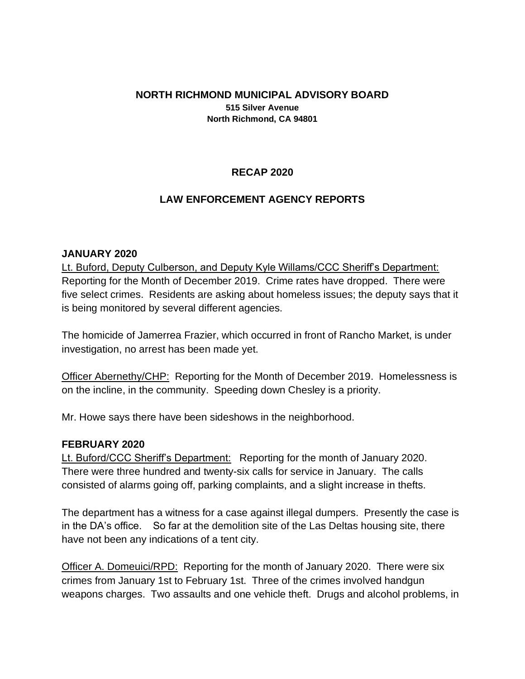### **NORTH RICHMOND MUNICIPAL ADVISORY BOARD 515 Silver Avenue North Richmond, CA 94801**

## **RECAP 2020**

### **LAW ENFORCEMENT AGENCY REPORTS**

### **JANUARY 2020**

Lt. Buford, Deputy Culberson, and Deputy Kyle Willams/CCC Sheriff's Department: Reporting for the Month of December 2019. Crime rates have dropped. There were five select crimes. Residents are asking about homeless issues; the deputy says that it is being monitored by several different agencies.

The homicide of Jamerrea Frazier, which occurred in front of Rancho Market, is under investigation, no arrest has been made yet.

**Officer Abernethy/CHP:** Reporting for the Month of December 2019. Homelessness is on the incline, in the community. Speeding down Chesley is a priority.

Mr. Howe says there have been sideshows in the neighborhood.

### **FEBRUARY 2020**

Lt. Buford/CCC Sheriff's Department: Reporting for the month of January 2020. There were three hundred and twenty-six calls for service in January. The calls consisted of alarms going off, parking complaints, and a slight increase in thefts.

The department has a witness for a case against illegal dumpers. Presently the case is in the DA's office. So far at the demolition site of the Las Deltas housing site, there have not been any indications of a tent city.

Officer A. Domeuici/RPD: Reporting for the month of January 2020. There were six crimes from January 1st to February 1st. Three of the crimes involved handgun weapons charges. Two assaults and one vehicle theft. Drugs and alcohol problems, in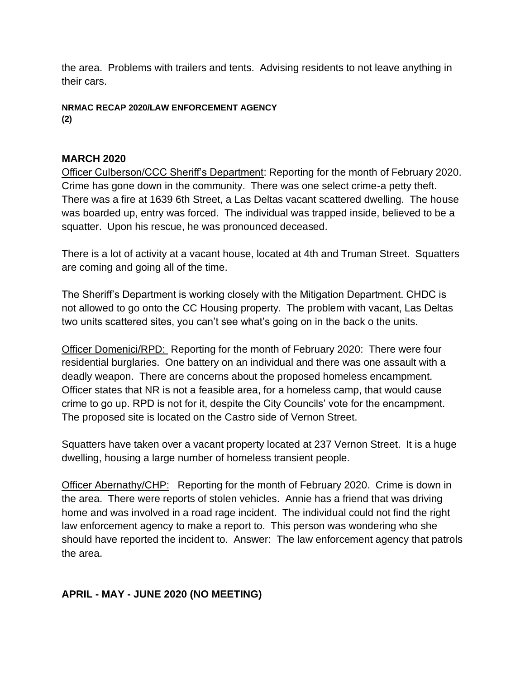the area. Problems with trailers and tents. Advising residents to not leave anything in their cars.

**NRMAC RECAP 2020/LAW ENFORCEMENT AGENCY (2)**

### **MARCH 2020**

Officer Culberson/CCC Sheriff's Department: Reporting for the month of February 2020. Crime has gone down in the community. There was one select crime-a petty theft. There was a fire at 1639 6th Street, a Las Deltas vacant scattered dwelling. The house was boarded up, entry was forced. The individual was trapped inside, believed to be a squatter. Upon his rescue, he was pronounced deceased.

There is a lot of activity at a vacant house, located at 4th and Truman Street. Squatters are coming and going all of the time.

The Sheriff's Department is working closely with the Mitigation Department. CHDC is not allowed to go onto the CC Housing property. The problem with vacant, Las Deltas two units scattered sites, you can't see what's going on in the back o the units.

Officer Domenici/RPD: Reporting for the month of February 2020: There were four residential burglaries. One battery on an individual and there was one assault with a deadly weapon. There are concerns about the proposed homeless encampment. Officer states that NR is not a feasible area, for a homeless camp, that would cause crime to go up. RPD is not for it, despite the City Councils' vote for the encampment. The proposed site is located on the Castro side of Vernon Street.

Squatters have taken over a vacant property located at 237 Vernon Street. It is a huge dwelling, housing a large number of homeless transient people.

Officer Abernathy/CHP: Reporting for the month of February 2020. Crime is down in the area. There were reports of stolen vehicles. Annie has a friend that was driving home and was involved in a road rage incident. The individual could not find the right law enforcement agency to make a report to. This person was wondering who she should have reported the incident to. Answer: The law enforcement agency that patrols the area.

# **APRIL - MAY - JUNE 2020 (NO MEETING)**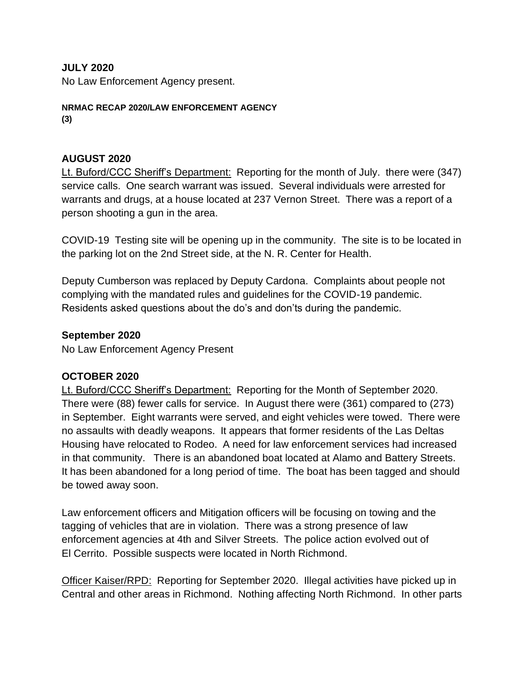### **JULY 2020**

No Law Enforcement Agency present.

**NRMAC RECAP 2020/LAW ENFORCEMENT AGENCY (3)**

### **AUGUST 2020**

Lt. Buford/CCC Sheriff's Department: Reporting for the month of July. there were (347) service calls. One search warrant was issued. Several individuals were arrested for warrants and drugs, at a house located at 237 Vernon Street. There was a report of a person shooting a gun in the area.

COVID-19 Testing site will be opening up in the community. The site is to be located in the parking lot on the 2nd Street side, at the N. R. Center for Health.

Deputy Cumberson was replaced by Deputy Cardona. Complaints about people not complying with the mandated rules and guidelines for the COVID-19 pandemic. Residents asked questions about the do's and don'ts during the pandemic.

### **September 2020**

No Law Enforcement Agency Present

### **OCTOBER 2020**

Lt. Buford/CCC Sheriff's Department: Reporting for the Month of September 2020. There were (88) fewer calls for service. In August there were (361) compared to (273) in September. Eight warrants were served, and eight vehicles were towed. There were no assaults with deadly weapons. It appears that former residents of the Las Deltas Housing have relocated to Rodeo. A need for law enforcement services had increased in that community. There is an abandoned boat located at Alamo and Battery Streets. It has been abandoned for a long period of time. The boat has been tagged and should be towed away soon.

Law enforcement officers and Mitigation officers will be focusing on towing and the tagging of vehicles that are in violation. There was a strong presence of law enforcement agencies at 4th and Silver Streets. The police action evolved out of El Cerrito. Possible suspects were located in North Richmond.

Officer Kaiser/RPD: Reporting for September 2020. Illegal activities have picked up in Central and other areas in Richmond. Nothing affecting North Richmond. In other parts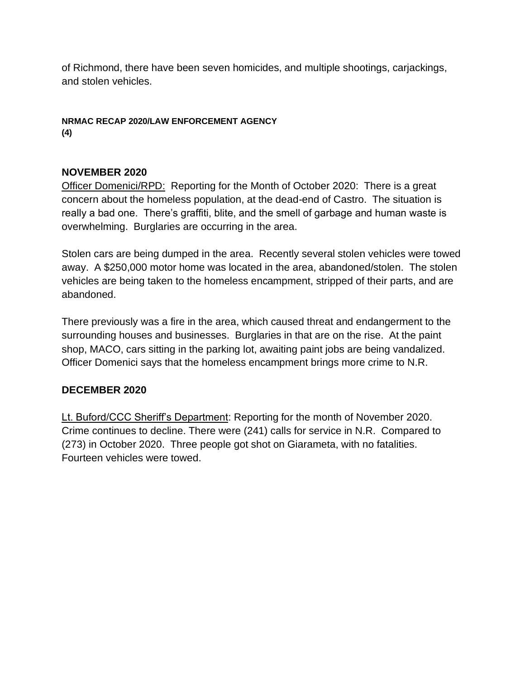of Richmond, there have been seven homicides, and multiple shootings, carjackings, and stolen vehicles.

## **NRMAC RECAP 2020/LAW ENFORCEMENT AGENCY (4)**

# **NOVEMBER 2020**

Officer Domenici/RPD: Reporting for the Month of October 2020: There is a great concern about the homeless population, at the dead-end of Castro. The situation is really a bad one. There's graffiti, blite, and the smell of garbage and human waste is overwhelming. Burglaries are occurring in the area.

Stolen cars are being dumped in the area. Recently several stolen vehicles were towed away. A \$250,000 motor home was located in the area, abandoned/stolen. The stolen vehicles are being taken to the homeless encampment, stripped of their parts, and are abandoned.

There previously was a fire in the area, which caused threat and endangerment to the surrounding houses and businesses. Burglaries in that are on the rise. At the paint shop, MACO, cars sitting in the parking lot, awaiting paint jobs are being vandalized. Officer Domenici says that the homeless encampment brings more crime to N.R.

# **DECEMBER 2020**

Lt. Buford/CCC Sheriff's Department: Reporting for the month of November 2020. Crime continues to decline. There were (241) calls for service in N.R. Compared to (273) in October 2020. Three people got shot on Giarameta, with no fatalities. Fourteen vehicles were towed.